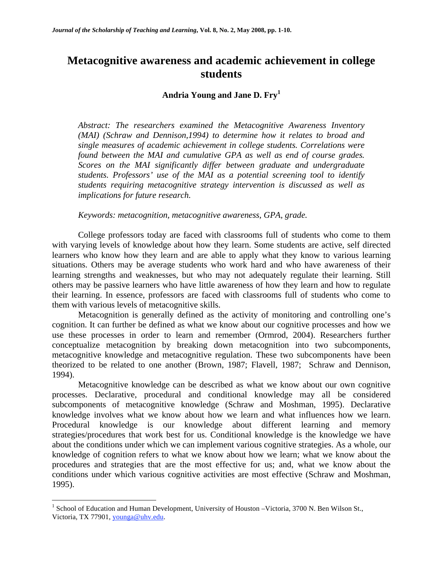# **Metacognitive awareness and academic achievement in college students**

# **Andria Young and Jane D. Fry<sup>1</sup>**

*Abstract: The researchers examined the Metacognitive Awareness Inventory (MAI) (Schraw and Dennison,1994) to determine how it relates to broad and single measures of academic achievement in college students. Correlations were found between the MAI and cumulative GPA as well as end of course grades. Scores on the MAI significantly differ between graduate and undergraduate students. Professors' use of the MAI as a potential screening tool to identify students requiring metacognitive strategy intervention is discussed as well as implications for future research.* 

*Keywords: metacognition, metacognitive awareness, GPA, grade.* 

 College professors today are faced with classrooms full of students who come to them with varying levels of knowledge about how they learn. Some students are active, self directed learners who know how they learn and are able to apply what they know to various learning situations. Others may be average students who work hard and who have awareness of their learning strengths and weaknesses, but who may not adequately regulate their learning. Still others may be passive learners who have little awareness of how they learn and how to regulate their learning. In essence, professors are faced with classrooms full of students who come to them with various levels of metacognitive skills.

Metacognition is generally defined as the activity of monitoring and controlling one's cognition. It can further be defined as what we know about our cognitive processes and how we use these processes in order to learn and remember (Ormrod, 2004). Researchers further conceptualize metacognition by breaking down metacognition into two subcomponents, metacognitive knowledge and metacognitive regulation. These two subcomponents have been theorized to be related to one another (Brown, 1987; Flavell, 1987; Schraw and Dennison, 1994).

 Metacognitive knowledge can be described as what we know about our own cognitive processes. Declarative, procedural and conditional knowledge may all be considered subcomponents of metacognitive knowledge (Schraw and Moshman, 1995). Declarative knowledge involves what we know about how we learn and what influences how we learn. Procedural knowledge is our knowledge about different learning and memory strategies/procedures that work best for us. Conditional knowledge is the knowledge we have about the conditions under which we can implement various cognitive strategies. As a whole, our knowledge of cognition refers to what we know about how we learn; what we know about the procedures and strategies that are the most effective for us; and, what we know about the conditions under which various cognitive activities are most effective (Schraw and Moshman, 1995).

1

<sup>&</sup>lt;sup>1</sup> School of Education and Human Development, University of Houston - Victoria, 3700 N. Ben Wilson St., Victoria, TX 77901, younga@uhv.edu.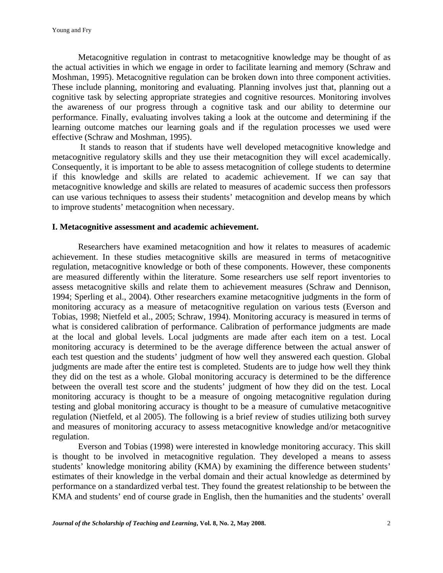Metacognitive regulation in contrast to metacognitive knowledge may be thought of as the actual activities in which we engage in order to facilitate learning and memory (Schraw and Moshman, 1995). Metacognitive regulation can be broken down into three component activities. These include planning, monitoring and evaluating. Planning involves just that, planning out a cognitive task by selecting appropriate strategies and cognitive resources. Monitoring involves the awareness of our progress through a cognitive task and our ability to determine our performance. Finally, evaluating involves taking a look at the outcome and determining if the learning outcome matches our learning goals and if the regulation processes we used were effective (Schraw and Moshman, 1995).

 It stands to reason that if students have well developed metacognitive knowledge and metacognitive regulatory skills and they use their metacognition they will excel academically. Consequently, it is important to be able to assess metacognition of college students to determine if this knowledge and skills are related to academic achievement. If we can say that metacognitive knowledge and skills are related to measures of academic success then professors can use various techniques to assess their students' metacognition and develop means by which to improve students' metacognition when necessary.

### **I. Metacognitive assessment and academic achievement.**

 Researchers have examined metacognition and how it relates to measures of academic achievement. In these studies metacognitive skills are measured in terms of metacognitive regulation, metacognitive knowledge or both of these components. However, these components are measured differently within the literature. Some researchers use self report inventories to assess metacognitive skills and relate them to achievement measures (Schraw and Dennison, 1994; Sperling et al., 2004). Other researchers examine metacognitive judgments in the form of monitoring accuracy as a measure of metacognitive regulation on various tests (Everson and Tobias, 1998; Nietfeld et al., 2005; Schraw, 1994). Monitoring accuracy is measured in terms of what is considered calibration of performance. Calibration of performance judgments are made at the local and global levels. Local judgments are made after each item on a test. Local monitoring accuracy is determined to be the average difference between the actual answer of each test question and the students' judgment of how well they answered each question. Global judgments are made after the entire test is completed. Students are to judge how well they think they did on the test as a whole. Global monitoring accuracy is determined to be the difference between the overall test score and the students' judgment of how they did on the test. Local monitoring accuracy is thought to be a measure of ongoing metacognitive regulation during testing and global monitoring accuracy is thought to be a measure of cumulative metacognitive regulation (Nietfeld, et al 2005). The following is a brief review of studies utilizing both survey and measures of monitoring accuracy to assess metacognitive knowledge and/or metacognitive regulation.

 Everson and Tobias (1998) were interested in knowledge monitoring accuracy. This skill is thought to be involved in metacognitive regulation. They developed a means to assess students' knowledge monitoring ability (KMA) by examining the difference between students' estimates of their knowledge in the verbal domain and their actual knowledge as determined by performance on a standardized verbal test. They found the greatest relationship to be between the KMA and students' end of course grade in English, then the humanities and the students' overall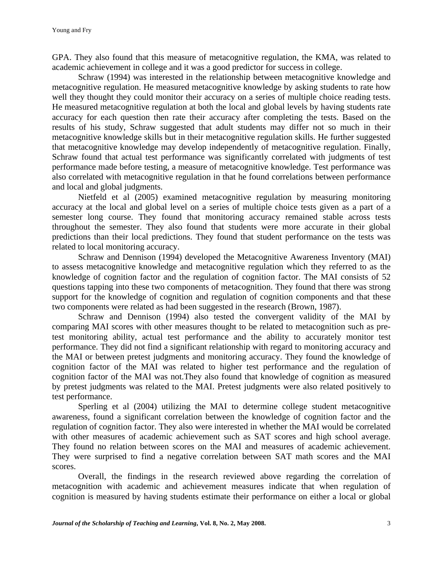GPA. They also found that this measure of metacognitive regulation, the KMA, was related to academic achievement in college and it was a good predictor for success in college.

Schraw (1994) was interested in the relationship between metacognitive knowledge and metacognitive regulation. He measured metacognitive knowledge by asking students to rate how well they thought they could monitor their accuracy on a series of multiple choice reading tests. He measured metacognitive regulation at both the local and global levels by having students rate accuracy for each question then rate their accuracy after completing the tests. Based on the results of his study, Schraw suggested that adult students may differ not so much in their metacognitive knowledge skills but in their metacognitive regulation skills. He further suggested that metacognitive knowledge may develop independently of metacognitive regulation. Finally, Schraw found that actual test performance was significantly correlated with judgments of test performance made before testing, a measure of metacognitive knowledge. Test performance was also correlated with metacognitive regulation in that he found correlations between performance and local and global judgments.

 Nietfeld et al (2005) examined metacognitive regulation by measuring monitoring accuracy at the local and global level on a series of multiple choice tests given as a part of a semester long course. They found that monitoring accuracy remained stable across tests throughout the semester. They also found that students were more accurate in their global predictions than their local predictions. They found that student performance on the tests was related to local monitoring accuracy.

Schraw and Dennison (1994) developed the Metacognitive Awareness Inventory (MAI) to assess metacognitive knowledge and metacognitive regulation which they referred to as the knowledge of cognition factor and the regulation of cognition factor. The MAI consists of 52 questions tapping into these two components of metacognition. They found that there was strong support for the knowledge of cognition and regulation of cognition components and that these two components were related as had been suggested in the research (Brown, 1987).

 Schraw and Dennison (1994) also tested the convergent validity of the MAI by comparing MAI scores with other measures thought to be related to metacognition such as pretest monitoring ability, actual test performance and the ability to accurately monitor test performance. They did not find a significant relationship with regard to monitoring accuracy and the MAI or between pretest judgments and monitoring accuracy. They found the knowledge of cognition factor of the MAI was related to higher test performance and the regulation of cognition factor of the MAI was not.They also found that knowledge of cognition as measured by pretest judgments was related to the MAI. Pretest judgments were also related positively to test performance.

 Sperling et al (2004) utilizing the MAI to determine college student metacognitive awareness, found a significant correlation between the knowledge of cognition factor and the regulation of cognition factor. They also were interested in whether the MAI would be correlated with other measures of academic achievement such as SAT scores and high school average. They found no relation between scores on the MAI and measures of academic achievement. They were surprised to find a negative correlation between SAT math scores and the MAI scores.

Overall, the findings in the research reviewed above regarding the correlation of metacognition with academic and achievement measures indicate that when regulation of cognition is measured by having students estimate their performance on either a local or global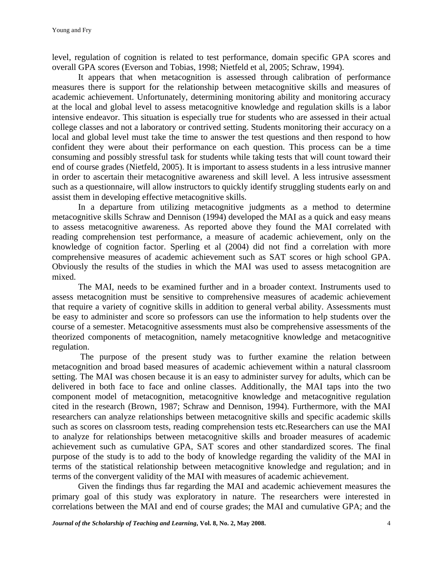level, regulation of cognition is related to test performance, domain specific GPA scores and overall GPA scores (Everson and Tobias, 1998; Nietfeld et al, 2005; Schraw, 1994).

 It appears that when metacognition is assessed through calibration of performance measures there is support for the relationship between metacognitive skills and measures of academic achievement. Unfortunately, determining monitoring ability and monitoring accuracy at the local and global level to assess metacognitive knowledge and regulation skills is a labor intensive endeavor. This situation is especially true for students who are assessed in their actual college classes and not a laboratory or contrived setting. Students monitoring their accuracy on a local and global level must take the time to answer the test questions and then respond to how confident they were about their performance on each question. This process can be a time consuming and possibly stressful task for students while taking tests that will count toward their end of course grades (Nietfeld, 2005). It is important to assess students in a less intrusive manner in order to ascertain their metacognitive awareness and skill level. A less intrusive assessment such as a questionnaire, will allow instructors to quickly identify struggling students early on and assist them in developing effective metacognitive skills.

 In a departure from utilizing metacognitive judgments as a method to determine metacognitive skills Schraw and Dennison (1994) developed the MAI as a quick and easy means to assess metacognitive awareness. As reported above they found the MAI correlated with reading comprehension test performance, a measure of academic achievement, only on the knowledge of cognition factor. Sperling et al (2004) did not find a correlation with more comprehensive measures of academic achievement such as SAT scores or high school GPA. Obviously the results of the studies in which the MAI was used to assess metacognition are mixed.

The MAI, needs to be examined further and in a broader context. Instruments used to assess metacognition must be sensitive to comprehensive measures of academic achievement that require a variety of cognitive skills in addition to general verbal ability. Assessments must be easy to administer and score so professors can use the information to help students over the course of a semester. Metacognitive assessments must also be comprehensive assessments of the theorized components of metacognition, namely metacognitive knowledge and metacognitive regulation.

 The purpose of the present study was to further examine the relation between metacognition and broad based measures of academic achievement within a natural classroom setting. The MAI was chosen because it is an easy to administer survey for adults, which can be delivered in both face to face and online classes. Additionally, the MAI taps into the two component model of metacognition, metacognitive knowledge and metacognitive regulation cited in the research (Brown, 1987; Schraw and Dennison, 1994). Furthermore, with the MAI researchers can analyze relationships between metacognitive skills and specific academic skills such as scores on classroom tests, reading comprehension tests etc.Researchers can use the MAI to analyze for relationships between metacognitive skills and broader measures of academic achievement such as cumulative GPA, SAT scores and other standardized scores. The final purpose of the study is to add to the body of knowledge regarding the validity of the MAI in terms of the statistical relationship between metacognitive knowledge and regulation; and in terms of the convergent validity of the MAI with measures of academic achievement.

 Given the findings thus far regarding the MAI and academic achievement measures the primary goal of this study was exploratory in nature. The researchers were interested in correlations between the MAI and end of course grades; the MAI and cumulative GPA; and the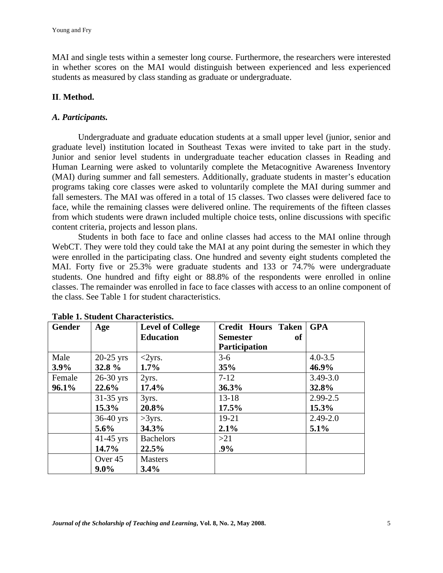MAI and single tests within a semester long course. Furthermore, the researchers were interested in whether scores on the MAI would distinguish between experienced and less experienced students as measured by class standing as graduate or undergraduate.

## **II**. **Method.**

## *A. Participants.*

Undergraduate and graduate education students at a small upper level (junior, senior and graduate level) institution located in Southeast Texas were invited to take part in the study. Junior and senior level students in undergraduate teacher education classes in Reading and Human Learning were asked to voluntarily complete the Metacognitive Awareness Inventory (MAI) during summer and fall semesters. Additionally, graduate students in master's education programs taking core classes were asked to voluntarily complete the MAI during summer and fall semesters. The MAI was offered in a total of 15 classes. Two classes were delivered face to face, while the remaining classes were delivered online. The requirements of the fifteen classes from which students were drawn included multiple choice tests, online discussions with specific content criteria, projects and lesson plans.

Students in both face to face and online classes had access to the MAI online through WebCT. They were told they could take the MAI at any point during the semester in which they were enrolled in the participating class. One hundred and seventy eight students completed the MAI. Forty five or 25.3% were graduate students and 133 or 74.7% were undergraduate students. One hundred and fifty eight or 88.8% of the respondents were enrolled in online classes. The remainder was enrolled in face to face classes with access to an online component of the class. See Table 1 for student characteristics.

| Gender  | Age         | <b>Level of College</b> | <b>Credit Hours Taken</b> | <b>GPA</b>   |
|---------|-------------|-------------------------|---------------------------|--------------|
|         |             | <b>Education</b>        | of<br><b>Semester</b>     |              |
|         |             |                         | <b>Participation</b>      |              |
| Male    | $20-25$ yrs | $<2yrs$ .               | $3-6$                     | $4.0 - 3.5$  |
| $3.9\%$ | 32.8 %      | $1.7\%$                 | 35%                       | 46.9%        |
| Female  | $26-30$ yrs | 2yrs.                   | $7 - 12$                  | $3.49 - 3.0$ |
| 96.1%   | 22.6%       | 17.4%                   | 36.3%                     | 32.8%        |
|         | $31-35$ yrs | 3yrs.                   | $13 - 18$                 | $2.99 - 2.5$ |
|         | $15.3\%$    | 20.8%                   | 17.5%                     | 15.3%        |
|         | $36-40$ yrs | >3yrs.                  | $19-21$                   | $2.49 - 2.0$ |
|         | $5.6\%$     | 34.3%                   | 2.1%                      | 5.1%         |
|         | $41-45$ yrs | <b>Bachelors</b>        | >21                       |              |
|         | 14.7%       | 22.5%                   | $.9\%$                    |              |
|         | Over 45     | <b>Masters</b>          |                           |              |
|         | $9.0\%$     | 3.4%                    |                           |              |

**Table 1. Student Characteristics.**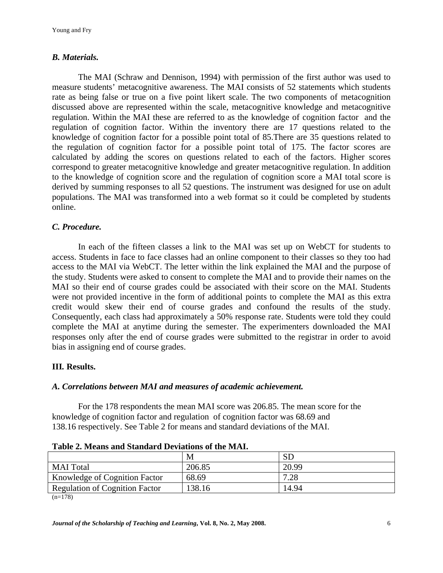## *B. Materials.*

The MAI (Schraw and Dennison, 1994) with permission of the first author was used to measure students' metacognitive awareness. The MAI consists of 52 statements which students rate as being false or true on a five point likert scale. The two components of metacognition discussed above are represented within the scale, metacognitive knowledge and metacognitive regulation. Within the MAI these are referred to as the knowledge of cognition factor and the regulation of cognition factor. Within the inventory there are 17 questions related to the knowledge of cognition factor for a possible point total of 85.There are 35 questions related to the regulation of cognition factor for a possible point total of 175. The factor scores are calculated by adding the scores on questions related to each of the factors. Higher scores correspond to greater metacognitive knowledge and greater metacognitive regulation. In addition to the knowledge of cognition score and the regulation of cognition score a MAI total score is derived by summing responses to all 52 questions. The instrument was designed for use on adult populations. The MAI was transformed into a web format so it could be completed by students online.

## *C. Procedure.*

In each of the fifteen classes a link to the MAI was set up on WebCT for students to access. Students in face to face classes had an online component to their classes so they too had access to the MAI via WebCT. The letter within the link explained the MAI and the purpose of the study. Students were asked to consent to complete the MAI and to provide their names on the MAI so their end of course grades could be associated with their score on the MAI. Students were not provided incentive in the form of additional points to complete the MAI as this extra credit would skew their end of course grades and confound the results of the study. Consequently, each class had approximately a 50% response rate. Students were told they could complete the MAI at anytime during the semester. The experimenters downloaded the MAI responses only after the end of course grades were submitted to the registrar in order to avoid bias in assigning end of course grades.

### **III***.* **Results.**

### *A. Correlations between MAI and measures of academic achievement.*

For the 178 respondents the mean MAI score was 206.85. The mean score for the knowledge of cognition factor and regulation of cognition factor was 68.69 and 138.16 respectively. See Table 2 for means and standard deviations of the MAI.

|                                       | M      | <b>SD</b> |
|---------------------------------------|--------|-----------|
| <b>MAI</b> Total                      | 206.85 | 20.99     |
| Knowledge of Cognition Factor         | 68.69  | 7.28      |
| <b>Regulation of Cognition Factor</b> | 138.16 | 14.94     |

| Table 2. Means and Standard Deviations of the MAI. |  |  |  |
|----------------------------------------------------|--|--|--|
|----------------------------------------------------|--|--|--|

<sup>(</sup>n=178)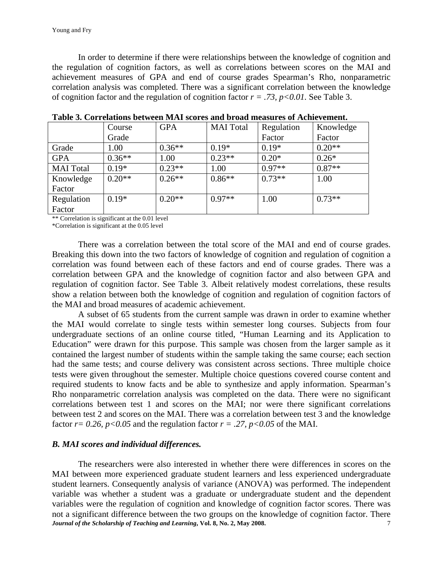In order to determine if there were relationships between the knowledge of cognition and the regulation of cognition factors, as well as correlations between scores on the MAI and achievement measures of GPA and end of course grades Spearman's Rho, nonparametric correlation analysis was completed. There was a significant correlation between the knowledge of cognition factor and the regulation of cognition factor  $r = .73$ ,  $p < 0.01$ . See Table 3.

|                  | Course   | <b>GPA</b> | <b>MAI</b> Total | Regulation | Knowledge |
|------------------|----------|------------|------------------|------------|-----------|
|                  | Grade    |            |                  | Factor     | Factor    |
| Grade            | 1.00     | $0.36**$   | $0.19*$          | $0.19*$    | $0.20**$  |
| <b>GPA</b>       | $0.36**$ | 1.00       | $0.23**$         | $0.20*$    | $0.26*$   |
| <b>MAI</b> Total | $0.19*$  | $0.23**$   | 1.00             | $0.97**$   | $0.87**$  |
| Knowledge        | $0.20**$ | $0.26**$   | $0.86**$         | $0.73**$   | 1.00      |
| Factor           |          |            |                  |            |           |
| Regulation       | $0.19*$  | $0.20**$   | $0.97**$         | 1.00       | $0.73**$  |
| Factor           |          |            |                  |            |           |

**Table 3. Correlations between MAI scores and broad measures of Achievement.** 

\*\* Correlation is significant at the 0.01 level

\*Correlation is significant at the 0.05 level

There was a correlation between the total score of the MAI and end of course grades. Breaking this down into the two factors of knowledge of cognition and regulation of cognition a correlation was found between each of these factors and end of course grades. There was a correlation between GPA and the knowledge of cognition factor and also between GPA and regulation of cognition factor. See Table 3. Albeit relatively modest correlations, these results show a relation between both the knowledge of cognition and regulation of cognition factors of the MAI and broad measures of academic achievement.

A subset of 65 students from the current sample was drawn in order to examine whether the MAI would correlate to single tests within semester long courses. Subjects from four undergraduate sections of an online course titled, "Human Learning and its Application to Education" were drawn for this purpose. This sample was chosen from the larger sample as it contained the largest number of students within the sample taking the same course; each section had the same tests; and course delivery was consistent across sections. Three multiple choice tests were given throughout the semester. Multiple choice questions covered course content and required students to know facts and be able to synthesize and apply information. Spearman's Rho nonparametric correlation analysis was completed on the data. There were no significant correlations between test 1 and scores on the MAI; nor were there significant correlations between test 2 and scores on the MAI. There was a correlation between test 3 and the knowledge factor  $r = 0.26$ ,  $p < 0.05$  and the regulation factor  $r = .27$ ,  $p < 0.05$  of the MAI.

#### *B. MAI scores and individual differences.*

*Journal of the Scholarship of Teaching and Learning***, Vol. 8, No. 2, May 2008.** 7 The researchers were also interested in whether there were differences in scores on the MAI between more experienced graduate student learners and less experienced undergraduate student learners. Consequently analysis of variance (ANOVA) was performed. The independent variable was whether a student was a graduate or undergraduate student and the dependent variables were the regulation of cognition and knowledge of cognition factor scores. There was not a significant difference between the two groups on the knowledge of cognition factor. There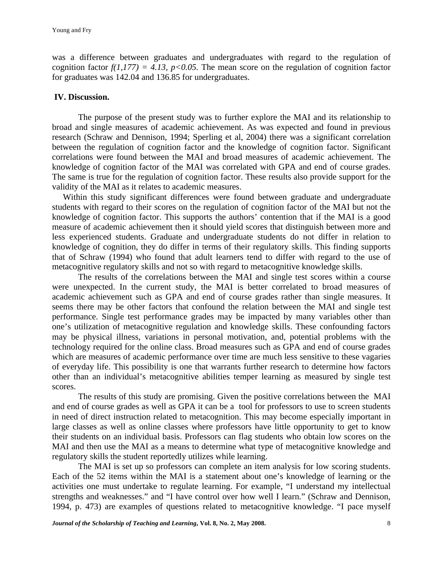was a difference between graduates and undergraduates with regard to the regulation of cognition factor  $f(1,177) = 4.13$ ,  $p < 0.05$ . The mean score on the regulation of cognition factor for graduates was 142.04 and 136.85 for undergraduates.

#### **IV. Discussion.**

The purpose of the present study was to further explore the MAI and its relationship to broad and single measures of academic achievement. As was expected and found in previous research (Schraw and Dennison, 1994; Sperling et al, 2004) there was a significant correlation between the regulation of cognition factor and the knowledge of cognition factor. Significant correlations were found between the MAI and broad measures of academic achievement. The knowledge of cognition factor of the MAI was correlated with GPA and end of course grades. The same is true for the regulation of cognition factor. These results also provide support for the validity of the MAI as it relates to academic measures.

 Within this study significant differences were found between graduate and undergraduate students with regard to their scores on the regulation of cognition factor of the MAI but not the knowledge of cognition factor. This supports the authors' contention that if the MAI is a good measure of academic achievement then it should yield scores that distinguish between more and less experienced students. Graduate and undergraduate students do not differ in relation to knowledge of cognition, they do differ in terms of their regulatory skills. This finding supports that of Schraw (1994) who found that adult learners tend to differ with regard to the use of metacognitive regulatory skills and not so with regard to metacognitive knowledge skills.

The results of the correlations between the MAI and single test scores within a course were unexpected. In the current study, the MAI is better correlated to broad measures of academic achievement such as GPA and end of course grades rather than single measures. It seems there may be other factors that confound the relation between the MAI and single test performance. Single test performance grades may be impacted by many variables other than one's utilization of metacognitive regulation and knowledge skills. These confounding factors may be physical illness, variations in personal motivation, and, potential problems with the technology required for the online class. Broad measures such as GPA and end of course grades which are measures of academic performance over time are much less sensitive to these vagaries of everyday life. This possibility is one that warrants further research to determine how factors other than an individual's metacognitive abilities temper learning as measured by single test scores.

The results of this study are promising. Given the positive correlations between the MAI and end of course grades as well as GPA it can be a tool for professors to use to screen students in need of direct instruction related to metacognition. This may become especially important in large classes as well as online classes where professors have little opportunity to get to know their students on an individual basis. Professors can flag students who obtain low scores on the MAI and then use the MAI as a means to determine what type of metacognitive knowledge and regulatory skills the student reportedly utilizes while learning.

The MAI is set up so professors can complete an item analysis for low scoring students. Each of the 52 items within the MAI is a statement about one's knowledge of learning or the activities one must undertake to regulate learning. For example, "I understand my intellectual strengths and weaknesses." and "I have control over how well I learn." (Schraw and Dennison, 1994, p. 473) are examples of questions related to metacognitive knowledge. "I pace myself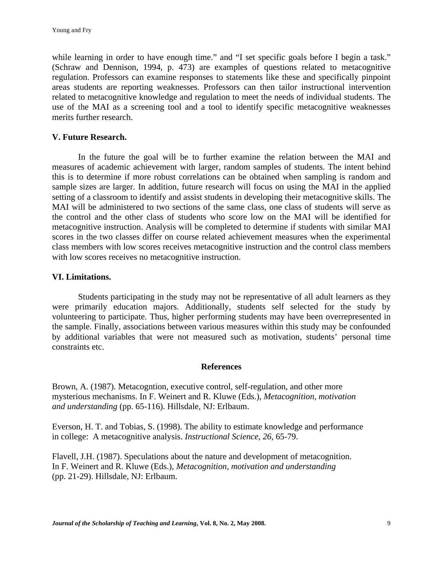while learning in order to have enough time." and "I set specific goals before I begin a task." (Schraw and Dennison, 1994, p. 473) are examples of questions related to metacognitive regulation. Professors can examine responses to statements like these and specifically pinpoint areas students are reporting weaknesses. Professors can then tailor instructional intervention related to metacognitive knowledge and regulation to meet the needs of individual students. The use of the MAI as a screening tool and a tool to identify specific metacognitive weaknesses merits further research.

### **V. Future Research.**

In the future the goal will be to further examine the relation between the MAI and measures of academic achievement with larger, random samples of students. The intent behind this is to determine if more robust correlations can be obtained when sampling is random and sample sizes are larger. In addition, future research will focus on using the MAI in the applied setting of a classroom to identify and assist students in developing their metacognitive skills. The MAI will be administered to two sections of the same class, one class of students will serve as the control and the other class of students who score low on the MAI will be identified for metacognitive instruction. Analysis will be completed to determine if students with similar MAI scores in the two classes differ on course related achievement measures when the experimental class members with low scores receives metacognitive instruction and the control class members with low scores receives no metacognitive instruction.

### **VI. Limitations.**

Students participating in the study may not be representative of all adult learners as they were primarily education majors. Additionally, students self selected for the study by volunteering to participate. Thus, higher performing students may have been overrepresented in the sample. Finally, associations between various measures within this study may be confounded by additional variables that were not measured such as motivation, students' personal time constraints etc.

### **References**

Brown, A. (1987). Metacogntion, executive control, self-regulation, and other more mysterious mechanisms. In F. Weinert and R. Kluwe (Eds.), *Metacognition, motivation and understanding* (pp. 65-116). Hillsdale, NJ: Erlbaum.

Everson, H. T. and Tobias, S. (1998). The ability to estimate knowledge and performance in college: A metacognitive analysis. *Instructional Science, 26,* 65-79.

Flavell, J.H. (1987). Speculations about the nature and development of metacognition. In F. Weinert and R. Kluwe (Eds.), *Metacognition, motivation and understanding* (pp. 21-29). Hillsdale, NJ: Erlbaum.